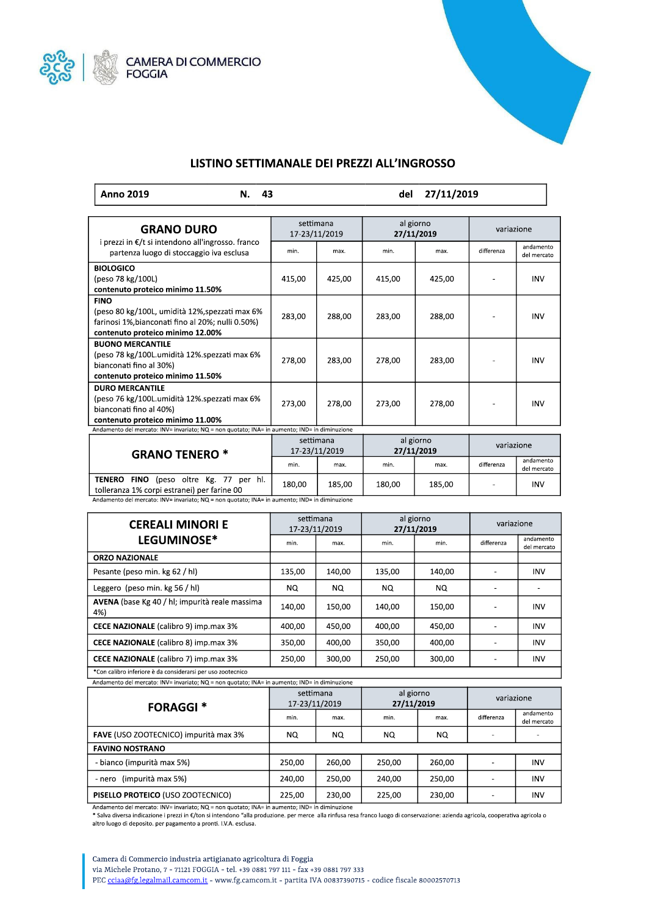



## LISTINO SETTIMANALE DEI PREZZI ALL'INGROSSO

| del 27/11/2019<br>  Anno 2019<br>43 |
|-------------------------------------|
|-------------------------------------|

| <b>GRANO DURO</b>                                                                                                                                      | settimana<br>17-23/11/2019 |        | al giorno<br>27/11/2019 |        | variazione |                          |  |
|--------------------------------------------------------------------------------------------------------------------------------------------------------|----------------------------|--------|-------------------------|--------|------------|--------------------------|--|
| i prezzi in €/t si intendono all'ingrosso. franco<br>partenza luogo di stoccaggio iva esclusa                                                          | min.                       | max.   | min.                    | max.   | differenza | andamento<br>del mercato |  |
| <b>BIOLOGICO</b><br>(peso 78 kg/100L)<br>contenuto proteico minimo 11.50%                                                                              | 415,00                     | 425,00 | 415,00                  | 425,00 |            | <b>INV</b>               |  |
| <b>FINO</b><br>(peso 80 kg/100L, umidità 12%, spezzati max 6%<br>farinosi 1%, bianconati fino al 20%; nulli 0.50%)<br>contenuto proteico minimo 12.00% | 283,00                     | 288,00 | 283,00                  | 288,00 |            | <b>INV</b>               |  |
| <b>BUONO MERCANTILE</b><br>(peso 78 kg/100L.umidità 12%.spezzati max 6%<br>bianconati fino al 30%)<br>contenuto proteico minimo 11.50%                 | 278,00                     | 283,00 | 278,00                  | 283,00 |            | <b>INV</b>               |  |
| <b>DURO MERCANTILE</b><br>(peso 76 kg/100L.umidità 12%.spezzati max 6%<br>bianconati fino al 40%)<br>contenuto proteico minimo 11.00%                  | 273,00                     | 278,00 | 273,00                  | 278,00 |            | <b>INV</b>               |  |
| Andamento del mercato: INV= invariato; NQ = non quotato; INA= in aumento; IND= in diminuzione                                                          |                            |        |                         |        |            |                          |  |
| <b>GRANO TENERO *</b>                                                                                                                                  | settimana<br>17-23/11/2019 |        | al giorno<br>27/11/2019 |        | variazione |                          |  |
|                                                                                                                                                        | min.                       | max.   | min.                    | max.   | differenza | andamento<br>del mercato |  |
| (peso oltre Kg. 77 per hl.<br>TENERO<br>FINO<br>tolleranza 1% corpi estranei) per farine 00                                                            | 180,00                     | 185,00 | 180,00                  | 185,00 |            | <b>INV</b>               |  |

Andamento del mercato: INV= invariato; NQ = non quotato; INA= in aumento; IND= in diminuzione

| <b>CEREALI MINORI E</b>                               | settimana<br>17-23/11/2019 |        | al giorno<br>27/11/2019 |        | variazione |                          |
|-------------------------------------------------------|----------------------------|--------|-------------------------|--------|------------|--------------------------|
| LEGUMINOSE*                                           | min.                       | max.   | min.                    | min.   | differenza | andamento<br>del mercato |
| <b>ORZO NAZIONALE</b>                                 |                            |        |                         |        |            |                          |
| Pesante (peso min. kg 62 / hl)                        | 135,00                     | 140,00 | 135,00                  | 140,00 | ۰          | <b>INV</b>               |
| Leggero (peso min. kg 56 / hl)                        | NQ.                        | NQ.    | NO.                     | NQ.    |            |                          |
| AVENA (base Kg 40 / hl; impurità reale massima<br>4%) | 140,00                     | 150,00 | 140.00                  | 150.00 |            | <b>INV</b>               |
| <b>CECE NAZIONALE</b> (calibro 9) imp.max 3%          | 400,00                     | 450,00 | 400,00                  | 450.00 |            | <b>INV</b>               |
| CECE NAZIONALE (calibro 8) imp.max 3%                 | 350,00                     | 400,00 | 350,00                  | 400,00 |            | <b>INV</b>               |
| <b>CECE NAZIONALE</b> (calibro 7) imp.max 3%          | 250,00                     | 300,00 | 250,00                  | 300,00 | ۰          | <b>INV</b>               |
|                                                       |                            |        |                         |        |            |                          |

'Con calibro inferiore è da considerarsi per uso zootecnico  $\mathbf{I}$ Andamento del mercato: INV= invariato; NQ = non quotato; INA= in aumento; IND= in diminuzione

| <b>FORAGGI*</b>                       | settimana<br>17-23/11/2019 |        | al giorno<br>27/11/2019 |        | variazione |                          |
|---------------------------------------|----------------------------|--------|-------------------------|--------|------------|--------------------------|
|                                       | min.                       | max.   | min.                    | max.   | differenza | andamento<br>del mercato |
| FAVE (USO ZOOTECNICO) impurità max 3% | NQ.                        | NQ.    | NQ.                     | NQ.    |            |                          |
| <b>FAVINO NOSTRANO</b>                |                            |        |                         |        |            |                          |
| - bianco (impurità max 5%)            | 250.00                     | 260,00 | 250.00                  | 260.00 |            | <b>INV</b>               |
| (impurità max 5%)<br>- nero           | 240.00                     | 250,00 | 240.00                  | 250.00 |            | <b>INV</b>               |
| PISELLO PROTEICO (USO ZOOTECNICO)     | 225,00                     | 230,00 | 225,00                  | 230,00 |            | <b>INV</b>               |

Andamento del mercato: INV= invariato; NQ = non quotato; INA= in aumento; IND= in diminuzione

\* Salva diversa indicazione i prezzi in €/ton si intendono "alla produzione, per merce alla rinfusa resa franco luogo di conservazione: azienda agricola, cooperativa agricola o altro luogo di deposito. per pagamento a pronti. I.V.A. esclusa.